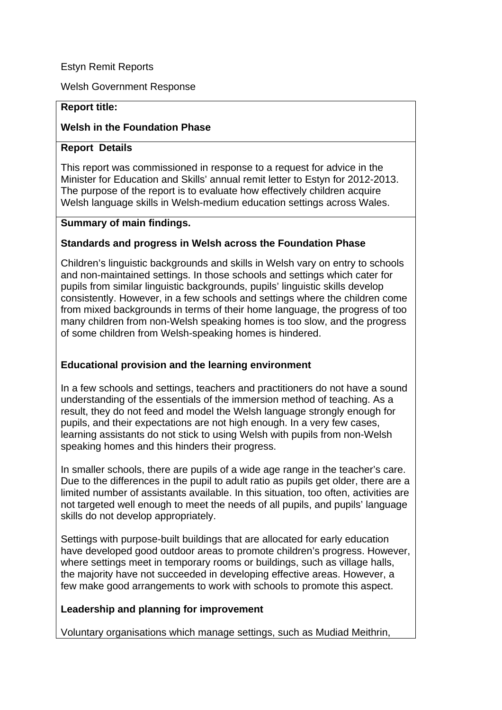### Estyn Remit Reports

Welsh Government Response

#### **Report title:**

#### **Welsh in the Foundation Phase**

#### **Report Details**

This report was commissioned in response to a request for advice in the Minister for Education and Skills' annual remit letter to Estyn for 2012-2013. The purpose of the report is to evaluate how effectively children acquire Welsh language skills in Welsh-medium education settings across Wales.

#### **Summary of main findings.**

#### **Standards and progress in Welsh across the Foundation Phase**

Children's linguistic backgrounds and skills in Welsh vary on entry to schools and non-maintained settings. In those schools and settings which cater for pupils from similar linguistic backgrounds, pupils' linguistic skills develop consistently. However, in a few schools and settings where the children come from mixed backgrounds in terms of their home language, the progress of too many children from non-Welsh speaking homes is too slow, and the progress of some children from Welsh-speaking homes is hindered.

#### **Educational provision and the learning environment**

In a few schools and settings, teachers and practitioners do not have a sound understanding of the essentials of the immersion method of teaching. As a result, they do not feed and model the Welsh language strongly enough for pupils, and their expectations are not high enough. In a very few cases, learning assistants do not stick to using Welsh with pupils from non-Welsh speaking homes and this hinders their progress.

In smaller schools, there are pupils of a wide age range in the teacher's care. Due to the differences in the pupil to adult ratio as pupils get older, there are a limited number of assistants available. In this situation, too often, activities are not targeted well enough to meet the needs of all pupils, and pupils' language skills do not develop appropriately.

Settings with purpose-built buildings that are allocated for early education have developed good outdoor areas to promote children's progress. However, where settings meet in temporary rooms or buildings, such as village halls, the majority have not succeeded in developing effective areas. However, a few make good arrangements to work with schools to promote this aspect.

#### **Leadership and planning for improvement**

Voluntary organisations which manage settings, such as Mudiad Meithrin,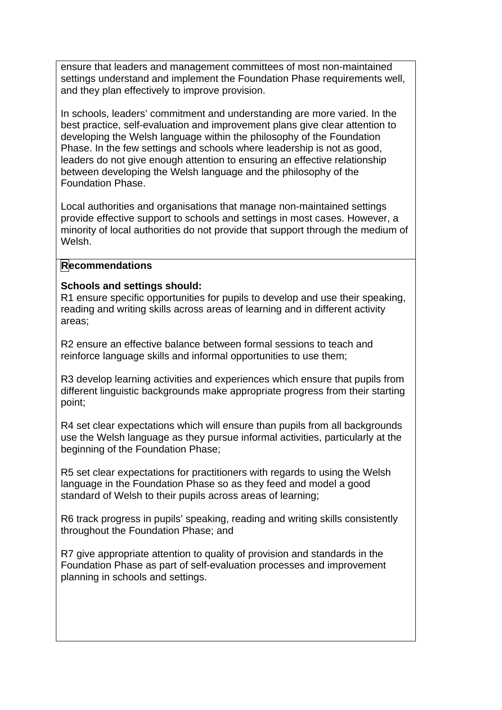ensure that leaders and management committees of most non-maintained settings understand and implement the Foundation Phase requirements well, and they plan effectively to improve provision.

In schools, leaders' commitment and understanding are more varied. In the best practice, self-evaluation and improvement plans give clear attention to developing the Welsh language within the philosophy of the Foundation Phase. In the few settings and schools where leadership is not as good, leaders do not give enough attention to ensuring an effective relationship between developing the Welsh language and the philosophy of the Foundation Phase.

Local authorities and organisations that manage non-maintained settings provide effective support to schools and settings in most cases. However, a minority of local authorities do not provide that support through the medium of Welsh.

#### **Recommendations**

#### **Schools and settings should:**

R1 ensure specific opportunities for pupils to develop and use their speaking, reading and writing skills across areas of learning and in different activity areas;

R2 ensure an effective balance between formal sessions to teach and reinforce language skills and informal opportunities to use them;

R3 develop learning activities and experiences which ensure that pupils from different linguistic backgrounds make appropriate progress from their starting point;

R4 set clear expectations which will ensure than pupils from all backgrounds use the Welsh language as they pursue informal activities, particularly at the beginning of the Foundation Phase;

R5 set clear expectations for practitioners with regards to using the Welsh language in the Foundation Phase so as they feed and model a good standard of Welsh to their pupils across areas of learning;

R6 track progress in pupils' speaking, reading and writing skills consistently throughout the Foundation Phase; and

R7 give appropriate attention to quality of provision and standards in the Foundation Phase as part of self-evaluation processes and improvement planning in schools and settings.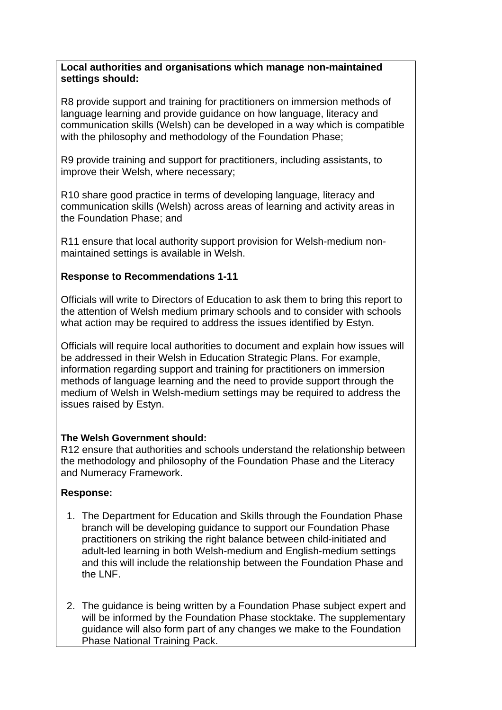### **Local authorities and organisations which manage non-maintained settings should:**

R8 provide support and training for practitioners on immersion methods of language learning and provide guidance on how language, literacy and communication skills (Welsh) can be developed in a way which is compatible with the philosophy and methodology of the Foundation Phase:

R9 provide training and support for practitioners, including assistants, to improve their Welsh, where necessary;

R10 share good practice in terms of developing language, literacy and communication skills (Welsh) across areas of learning and activity areas in the Foundation Phase; and

R11 ensure that local authority support provision for Welsh-medium nonmaintained settings is available in Welsh.

# **Response to Recommendations 1-11**

Officials will write to Directors of Education to ask them to bring this report to the attention of Welsh medium primary schools and to consider with schools what action may be required to address the issues identified by Estyn.

Officials will require local authorities to document and explain how issues will be addressed in their Welsh in Education Strategic Plans. For example, information regarding support and training for practitioners on immersion methods of language learning and the need to provide support through the medium of Welsh in Welsh-medium settings may be required to address the issues raised by Estyn.

## **The Welsh Government should:**

R12 ensure that authorities and schools understand the relationship between the methodology and philosophy of the Foundation Phase and the Literacy and Numeracy Framework.

## **Response:**

- 1. The Department for Education and Skills through the Foundation Phase branch will be developing guidance to support our Foundation Phase practitioners on striking the right balance between child-initiated and adult-led learning in both Welsh-medium and English-medium settings and this will include the relationship between the Foundation Phase and the LNF.
- 2. The guidance is being written by a Foundation Phase subject expert and will be informed by the Foundation Phase stocktake. The supplementary guidance will also form part of any changes we make to the Foundation Phase National Training Pack.